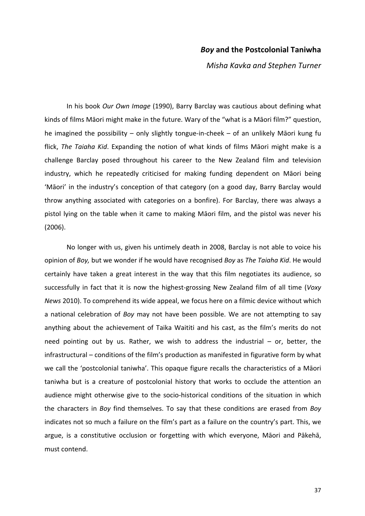## *Boy* **and the Postcolonial Taniwha**

*Misha Kavka and Stephen Turner*

In his book *Our Own Image* (1990), Barry Barclay was cautious about defining what kinds of films Māori might make in the future. Wary of the "what is a Māori film?" question, he imagined the possibility  $-$  only slightly tongue-in-cheek  $-$  of an unlikely Māori kung fu flick, *The Taiaha Kid*. Expanding the notion of what kinds of films Māori might make is a challenge Barclay posed throughout his career to the New Zealand film and television industry, which he repeatedly criticised for making funding dependent on Māori being 'Māori' in the industry's conception of that category (on a good day, Barry Barclay would throw anything associated with categories on a bonfire). For Barclay, there was always a pistol lying on the table when it came to making Māori film, and the pistol was never his (2006).

No longer with us, given his untimely death in 2008, Barclay is not able to voice his opinion of *Boy*, but we wonder if he would have recognised *Boy* as *The Taiaha Kid*. He would certainly have taken a great interest in the way that this film negotiates its audience, so successfully in fact that it is now the highest-grossing New Zealand film of all time (*Voxy News* 2010). To comprehend its wide appeal, we focus here on a filmic device without which a national celebration of *Boy* may not have been possible. We are not attempting to say anything about the achievement of Taika Waititi and his cast, as the film's merits do not need pointing out by us. Rather, we wish to address the industrial  $-$  or, better, the infrastructural – conditions of the film's production as manifested in figurative form by what we call the 'postcolonial taniwha'. This opaque figure recalls the characteristics of a Māori taniwha but is a creature of postcolonial history that works to occlude the attention an audience might otherwise give to the socio-historical conditions of the situation in which the characters in *Boy* find themselves. To say that these conditions are erased from *Boy* indicates not so much a failure on the film's part as a failure on the country's part. This, we argue, is a constitutive occlusion or forgetting with which everyone, Māori and Pākehā, must contend.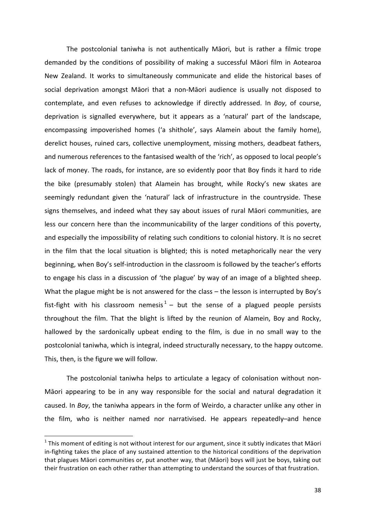The postcolonial taniwha is not authentically Māori, but is rather a filmic trope demanded by the conditions of possibility of making a successful Māori film in Aotearoa New Zealand. It works to simultaneously communicate and elide the historical bases of social deprivation amongst Māori that a non-Māori audience is usually not disposed to contemplate, and even refuses to acknowledge if directly addressed. In *Boy*, of course, deprivation is signalled everywhere, but it appears as a 'natural' part of the landscape, encompassing impoverished homes ('a shithole', says Alamein about the family home), derelict houses, ruined cars, collective unemployment, missing mothers, deadbeat fathers, and numerous references to the fantasised wealth of the 'rich', as opposed to local people's lack of money. The roads, for instance, are so evidently poor that Boy finds it hard to ride the bike (presumably stolen) that Alamein has brought, while Rocky's new skates are seemingly redundant given the 'natural' lack of infrastructure in the countryside. These signs themselves, and indeed what they say about issues of rural Māori communities, are less our concern here than the incommunicability of the larger conditions of this poverty, and especially the impossibility of relating such conditions to colonial history. It is no secret in the film that the local situation is blighted; this is noted metaphorically near the very beginning, when Boy's self-introduction in the classroom is followed by the teacher's efforts to engage his class in a discussion of 'the plague' by way of an image of a blighted sheep. What the plague might be is not answered for the class – the lesson is interrupted by Boy's fist-fight with his classroom nemesis<sup>1</sup> – but the sense of a plagued people persists throughout the film. That the blight is lifted by the reunion of Alamein, Boy and Rocky, hallowed by the sardonically upbeat ending to the film, is due in no small way to the postcolonial taniwha, which is integral, indeed structurally necessary, to the happy outcome. This, then, is the figure we will follow.

The postcolonial taniwha helps to articulate a legacy of colonisation without non-Māori appearing to be in any way responsible for the social and natural degradation it caused. In *Boy*, the taniwha appears in the form of Weirdo, a character unlike any other in the film, who is neither named nor narrativised. He appears repeatedly–and hence

 $1$  This moment of editing is not without interest for our argument, since it subtly indicates that Māori in-fighting takes the place of any sustained attention to the historical conditions of the deprivation that plagues Māori communities or, put another way, that (Māori) boys will just be boys, taking out their frustration on each other rather than attempting to understand the sources of that frustration.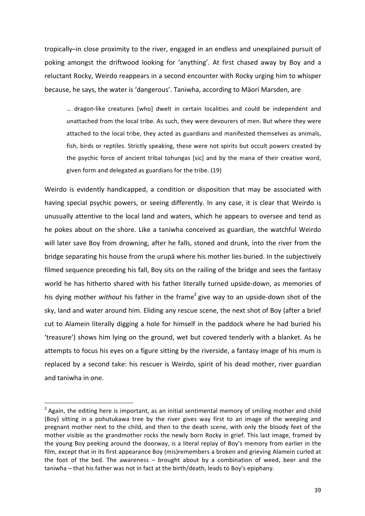tropically-in close proximity to the river, engaged in an endless and unexplained pursuit of poking amongst the driftwood looking for 'anything'. At first chased away by Boy and a reluctant Rocky, Weirdo reappears in a second encounter with Rocky urging him to whisper because, he says, the water is 'dangerous'. Taniwha, according to Māori Marsden, are

... dragon-like creatures [who] dwelt in certain localities and could be independent and unattached from the local tribe. As such, they were devourers of men. But where they were attached to the local tribe, they acted as guardians and manifested themselves as animals, fish, birds or reptiles. Strictly speaking, these were not spirits but occult powers created by the psychic force of ancient tribal tohungas [sic] and by the mana of their creative word, given form and delegated as guardians for the tribe. (19)

Weirdo is evidently handicapped, a condition or disposition that may be associated with having special psychic powers, or seeing differently. In any case, it is clear that Weirdo is unusually attentive to the local land and waters, which he appears to oversee and tend as he pokes about on the shore. Like a taniwha conceived as guardian, the watchful Weirdo will later save Boy from drowning, after he falls, stoned and drunk, into the river from the bridge separating his house from the urupa where his mother lies buried. In the subjectively filmed sequence preceding his fall, Boy sits on the railing of the bridge and sees the fantasy world he has hitherto shared with his father literally turned upside-down, as memories of his dying mother *without* his father in the frame<sup>2</sup> give way to an upside-down shot of the sky, land and water around him. Eliding any rescue scene, the next shot of Boy (after a brief cut to Alamein literally digging a hole for himself in the paddock where he had buried his 'treasure') shows him lying on the ground, wet but covered tenderly with a blanket. As he attempts to focus his eyes on a figure sitting by the riverside, a fantasy image of his mum is replaced by a second take: his rescuer is Weirdo, spirit of his dead mother, river guardian and taniwha in one.

<sup>&</sup>lt;sup>2</sup> Again, the editing here is important, as an initial sentimental memory of smiling mother and child (Boy) sitting in a pohutukawa tree by the river gives way first to an image of the weeping and pregnant mother next to the child, and then to the death scene, with only the bloody feet of the mother visible as the grandmother rocks the newly born Rocky in grief. This last image, framed by the young Boy peeking around the doorway, is a literal replay of Boy's memory from earlier in the film, except that in its first appearance Boy (mis)remembers a broken and grieving Alamein curled at the foot of the bed. The awareness  $-$  brought about by a combination of weed, beer and the taniwha – that his father was not in fact at the birth/death, leads to Boy's epiphany.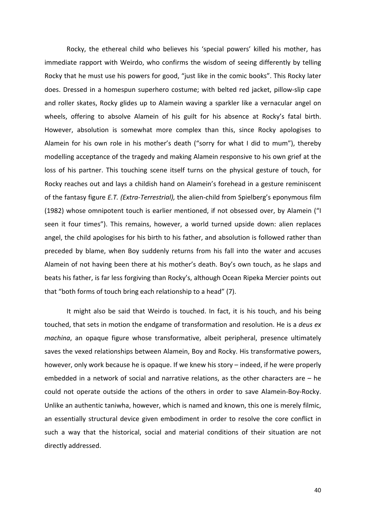Rocky, the ethereal child who believes his 'special powers' killed his mother, has immediate rapport with Weirdo, who confirms the wisdom of seeing differently by telling Rocky that he must use his powers for good, "just like in the comic books". This Rocky later does. Dressed in a homespun superhero costume; with belted red jacket, pillow-slip cape and roller skates, Rocky glides up to Alamein waving a sparkler like a vernacular angel on wheels, offering to absolve Alamein of his guilt for his absence at Rocky's fatal birth. However, absolution is somewhat more complex than this, since Rocky apologises to Alamein for his own role in his mother's death ("sorry for what I did to mum"), thereby modelling acceptance of the tragedy and making Alamein responsive to his own grief at the loss of his partner. This touching scene itself turns on the physical gesture of touch, for Rocky reaches out and lays a childish hand on Alamein's forehead in a gesture reminiscent of the fantasy figure *E.T. (Extra-Terrestrial)*, the alien-child from Spielberg's eponymous film (1982) whose omnipotent touch is earlier mentioned, if not obsessed over, by Alamein ("I seen it four times"). This remains, however, a world turned upside down: alien replaces angel, the child apologises for his birth to his father, and absolution is followed rather than preceded by blame, when Boy suddenly returns from his fall into the water and accuses Alamein of not having been there at his mother's death. Boy's own touch, as he slaps and beats his father, is far less forgiving than Rocky's, although Ocean Ripeka Mercier points out that "both forms of touch bring each relationship to a head" (7).

It might also be said that Weirdo is touched. In fact, it is his touch, and his being touched, that sets in motion the endgame of transformation and resolution. He is a *deus ex machina*, an opaque figure whose transformative, albeit peripheral, presence ultimately saves the vexed relationships between Alamein, Boy and Rocky. His transformative powers, however, only work because he is opaque. If we knew his story – indeed, if he were properly embedded in a network of social and narrative relations, as the other characters are  $-$  he could not operate outside the actions of the others in order to save Alamein-Boy-Rocky. Unlike an authentic taniwha, however, which is named and known, this one is merely filmic, an essentially structural device given embodiment in order to resolve the core conflict in such a way that the historical, social and material conditions of their situation are not directly addressed.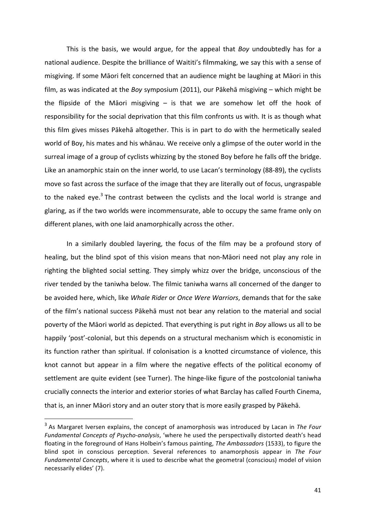This is the basis, we would argue, for the appeal that *Boy* undoubtedly has for a national audience. Despite the brilliance of Waititi's filmmaking, we say this with a sense of misgiving. If some Māori felt concerned that an audience might be laughing at Māori in this film, as was indicated at the *Boy* symposium (2011), our Pākehā misgiving – which might be the flipside of the Māori misgiving  $-$  is that we are somehow let off the hook of responsibility for the social deprivation that this film confronts us with. It is as though what this film gives misses Pākehā altogether. This is in part to do with the hermetically sealed world of Boy, his mates and his whānau. We receive only a glimpse of the outer world in the surreal image of a group of cyclists whizzing by the stoned Boy before he falls off the bridge. Like an anamorphic stain on the inner world, to use Lacan's terminology (88-89), the cyclists move so fast across the surface of the image that they are literally out of focus, ungraspable to the naked eye.<sup>3</sup> The contrast between the cyclists and the local world is strange and glaring, as if the two worlds were incommensurate, able to occupy the same frame only on different planes, with one laid anamorphically across the other.

In a similarly doubled layering, the focus of the film may be a profound story of healing, but the blind spot of this vision means that non-Māori need not play any role in righting the blighted social setting. They simply whizz over the bridge, unconscious of the river tended by the taniwha below. The filmic taniwha warns all concerned of the danger to be avoided here, which, like *Whale Rider* or *Once Were Warriors*, demands that for the sake of the film's national success Pākehā must not bear any relation to the material and social poverty of the Māori world as depicted. That everything is put right in *Boy* allows us all to be happily 'post'-colonial, but this depends on a structural mechanism which is economistic in its function rather than spiritual. If colonisation is a knotted circumstance of violence, this knot cannot but appear in a film where the negative effects of the political economy of settlement are quite evident (see Turner). The hinge-like figure of the postcolonial taniwha crucially connects the interior and exterior stories of what Barclay has called Fourth Cinema, that is, an inner Māori story and an outer story that is more easily grasped by Pākehā.

<sup>&</sup>lt;sup>3</sup> As Margaret Iversen explains, the concept of anamorphosis was introduced by Lacan in The Four Fundamental Concepts of Psycho-analysis, 'where he used the perspectivally distorted death's head floating in the foreground of Hans Holbein's famous painting, *The Ambassadors* (1533), to figure the blind spot in conscious perception. Several references to anamorphosis appear in *The Four Fundamental Concepts*, where it is used to describe what the geometral (conscious) model of vision necessarily elides' (7).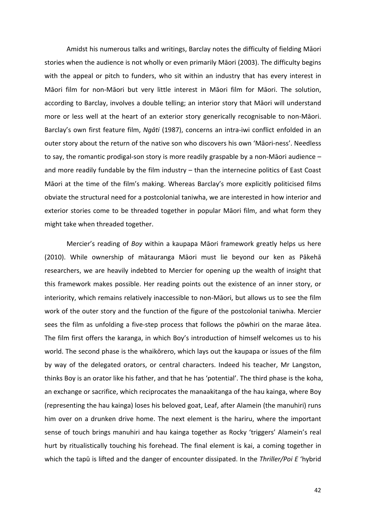Amidst his numerous talks and writings, Barclay notes the difficulty of fielding Māori stories when the audience is not wholly or even primarily Māori (2003). The difficulty begins with the appeal or pitch to funders, who sit within an industry that has every interest in Māori film for non-Māori but very little interest in Māori film for Māori. The solution, according to Barclay, involves a double telling; an interior story that Māori will understand more or less well at the heart of an exterior story generically recognisable to non-Māori. Barclay's own first feature film, *Ngāti* (1987), concerns an intra-iwi conflict enfolded in an outer story about the return of the native son who discovers his own 'Māori-ness'. Needless to say, the romantic prodigal-son story is more readily graspable by a non-Māori audience  $$ and more readily fundable by the film industry  $-$  than the internecine politics of East Coast Māori at the time of the film's making. Whereas Barclay's more explicitly politicised films obviate the structural need for a postcolonial taniwha, we are interested in how interior and exterior stories come to be threaded together in popular Māori film, and what form they might take when threaded together.

Mercier's reading of *Boy* within a kaupapa Māori framework greatly helps us here (2010). While ownership of mātauranga Māori must lie beyond our ken as Pākehā researchers, we are heavily indebted to Mercier for opening up the wealth of insight that this framework makes possible. Her reading points out the existence of an inner story, or interiority, which remains relatively inaccessible to non-Māori, but allows us to see the film work of the outer story and the function of the figure of the postcolonial taniwha. Mercier sees the film as unfolding a five-step process that follows the pōwhiri on the marae ātea. The film first offers the karanga, in which Boy's introduction of himself welcomes us to his world. The second phase is the whaikōrero, which lays out the kaupapa or issues of the film by way of the delegated orators, or central characters. Indeed his teacher, Mr Langston, thinks Boy is an orator like his father, and that he has 'potential'. The third phase is the koha, an exchange or sacrifice, which reciprocates the manaakitanga of the hau kainga, where Boy (representing the hau kainga) loses his beloved goat, Leaf, after Alamein (the manuhiri) runs him over on a drunken drive home. The next element is the hariru, where the important sense of touch brings manuhiri and hau kainga together as Rocky 'triggers' Alamein's real hurt by ritualistically touching his forehead. The final element is kai, a coming together in which the tapū is lifted and the danger of encounter dissipated. In the Thriller/Poi E 'hybrid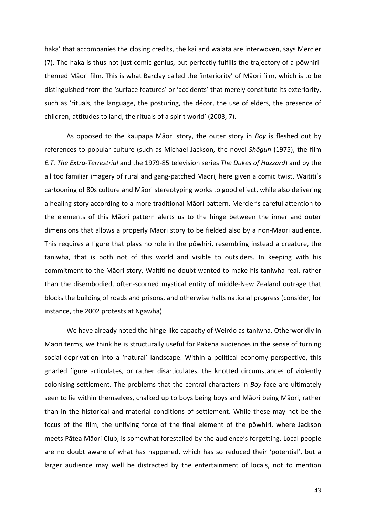haka' that accompanies the closing credits, the kai and waiata are interwoven, says Mercier (7). The haka is thus not just comic genius, but perfectly fulfills the trajectory of a powhirithemed Māori film. This is what Barclay called the 'interiority' of Māori film, which is to be distinguished from the 'surface features' or 'accidents' that merely constitute its exteriority, such as 'rituals, the language, the posturing, the décor, the use of elders, the presence of children, attitudes to land, the rituals of a spirit world' (2003, 7).

As opposed to the kaupapa Māori story, the outer story in *Boy* is fleshed out by references to popular culture (such as Michael Jackson, the novel *Shōgun* (1975), the film *E.T.* The *Extra-Terrestrial* and the 1979-85 television series *The Dukes of Hazzard*) and by the all too familiar imagery of rural and gang-patched Māori, here given a comic twist. Waititi's cartooning of 80s culture and Māori stereotyping works to good effect, while also delivering a healing story according to a more traditional Māori pattern. Mercier's careful attention to the elements of this Māori pattern alerts us to the hinge between the inner and outer dimensions that allows a properly Māori story to be fielded also by a non-Māori audience. This requires a figure that plays no role in the pōwhiri, resembling instead a creature, the taniwha, that is both not of this world and visible to outsiders. In keeping with his commitment to the Māori story, Waititi no doubt wanted to make his taniwha real, rather than the disembodied, often-scorned mystical entity of middle-New Zealand outrage that blocks the building of roads and prisons, and otherwise halts national progress (consider, for instance, the 2002 protests at Ngawha).

We have already noted the hinge-like capacity of Weirdo as taniwha. Otherworldly in Māori terms, we think he is structurally useful for Pākehā audiences in the sense of turning social deprivation into a 'natural' landscape. Within a political economy perspective, this gnarled figure articulates, or rather disarticulates, the knotted circumstances of violently colonising settlement. The problems that the central characters in *Boy* face are ultimately seen to lie within themselves, chalked up to boys being boys and Māori being Māori, rather than in the historical and material conditions of settlement. While these may not be the focus of the film, the unifying force of the final element of the powhiri, where Jackson meets Pātea Māori Club, is somewhat forestalled by the audience's forgetting. Local people are no doubt aware of what has happened, which has so reduced their 'potential', but a larger audience may well be distracted by the entertainment of locals, not to mention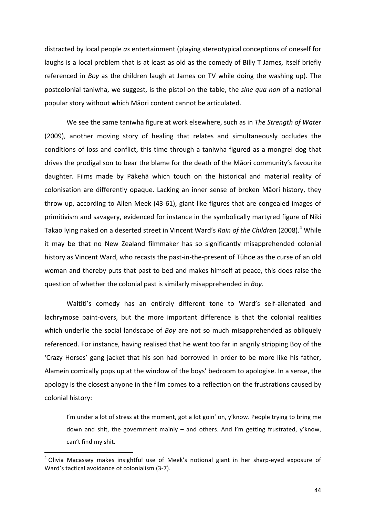distracted by local people *as* entertainment (playing stereotypical conceptions of oneself for laughs is a local problem that is at least as old as the comedy of Billy T James, itself briefly referenced in *Boy* as the children laugh at James on TV while doing the washing up). The postcolonial taniwha, we suggest, is the pistol on the table, the *sine qua non* of a national popular story without which Māori content cannot be articulated.

We see the same taniwha figure at work elsewhere, such as in *The Strength of Water* (2009), another moving story of healing that relates and simultaneously occludes the conditions of loss and conflict, this time through a taniwha figured as a mongrel dog that drives the prodigal son to bear the blame for the death of the Māori community's favourite daughter. Films made by Pākehā which touch on the historical and material reality of colonisation are differently opaque. Lacking an inner sense of broken Māori history, they throw up, according to Allen Meek (43-61), giant-like figures that are congealed images of primitivism and savagery, evidenced for instance in the symbolically martyred figure of Niki Takao lying naked on a deserted street in Vincent Ward's Rain of the Children (2008).<sup>4</sup> While it may be that no New Zealand filmmaker has so significantly misapprehended colonial history as Vincent Ward, who recasts the past-in-the-present of Tūhoe as the curse of an old woman and thereby puts that past to bed and makes himself at peace, this does raise the question of whether the colonial past is similarly misapprehended in *Boy.* 

Waititi's comedy has an entirely different tone to Ward's self-alienated and lachrymose paint-overs, but the more important difference is that the colonial realities which underlie the social landscape of *Boy* are not so much misapprehended as obliquely referenced. For instance, having realised that he went too far in angrily stripping Boy of the 'Crazy Horses' gang jacket that his son had borrowed in order to be more like his father, Alamein comically pops up at the window of the boys' bedroom to apologise. In a sense, the apology is the closest anyone in the film comes to a reflection on the frustrations caused by colonial history:

I'm under a lot of stress at the moment, got a lot goin' on, y'know. People trying to bring me down and shit, the government mainly – and others. And I'm getting frustrated, y'know, can't find my shit.

<sup>&</sup>lt;sup>4</sup> Olivia Macassey makes insightful use of Meek's notional giant in her sharp-eyed exposure of Ward's tactical avoidance of colonialism (3-7).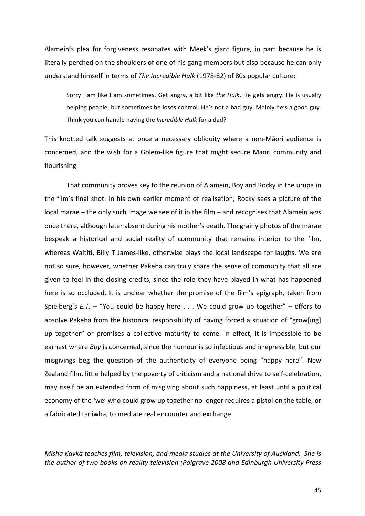Alamein's plea for forgiveness resonates with Meek's giant figure, in part because he is literally perched on the shoulders of one of his gang members but also because he can only understand himself in terms of The Incredible Hulk (1978-82) of 80s popular culture:

Sorry I am like I am sometimes. Get angry, a bit like *the Hulk*. He gets angry. He is usually helping people, but sometimes he loses control. He's not a bad guy. Mainly he's a good guy. Think you can handle having the *Incredible Hulk* for a dad?

This knotted talk suggests at once a necessary obliquity where a non-Māori audience is concerned, and the wish for a Golem-like figure that might secure Māori community and flourishing.

That community proves key to the reunion of Alamein. Boy and Rocky in the urupa in the film's final shot. In his own earlier moment of realisation, Rocky sees a picture of the local marae – the only such image we see of it in the film – and recognises that Alamein was once there, although later absent during his mother's death. The grainy photos of the marae bespeak a historical and social reality of community that remains interior to the film, whereas Waititi, Billy T James-like, otherwise plays the local landscape for laughs. We are not so sure, however, whether Pākehā can truly share the sense of community that all are given to feel in the closing credits, since the role they have played in what has happened here is so occluded. It is unclear whether the promise of the film's epigraph, taken from Spielberg's  $E.T.$  – "You could be happy here  $\ldots$  We could grow up together" – offers to absolve Pākehā from the historical responsibility of having forced a situation of "grow[ing] up together" or promises a collective maturity to come. In effect, it is impossible to be earnest where *Boy* is concerned, since the humour is so infectious and irrepressible, but our misgivings beg the question of the authenticity of everyone being "happy here". New Zealand film, little helped by the poverty of criticism and a national drive to self-celebration, may itself be an extended form of misgiving about such happiness, at least until a political economy of the 'we' who could grow up together no longer requires a pistol on the table, or a fabricated taniwha, to mediate real encounter and exchange.

*Misha Kavka teaches film, television, and media studies at the University of Auckland. She is* the author of two books on reality television (Palgrave 2008 and Edinburgh University Press